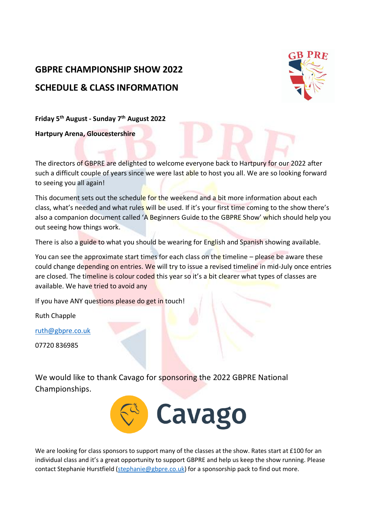# **GBPRE CHAMPIONSHIP SHOW 2022 SCHEDULE & CLASS INFORMATION**



**Friday 5th August - Sunday 7th August 2022**

**Hartpury Arena, Gloucestershire** 

The directors of GBPRE are delighted to welcome everyone back to Hartpury for our 2022 after such a difficult couple of years since we were last able to host you all. We are so looking forward to seeing you all again!

This document sets out the schedule for the weekend and a bit more information about each class, what's needed and what rules will be used. If it's your first time coming to the show there's also a companion document called 'A Beginners Guide to the GBPRE Show' which should help you out seeing how things work.

There is also a guide to what you should be wearing for English and Spanish showing available.

You can see the approximate start times for each class on the timeline – please be aware these could change depending on entries. We will try to issue a revised timeline in mid-July once entries are closed. The timeline is colour coded this year so it's a bit clearer what types of classes are available. We have tried to avoid any

If you have ANY questions please do get in touch!

Ruth Chapple

[ruth@gbpre.co.uk](mailto:ruth@gbpre.co.uk)

07720 836985

We would like to thank Cavago for sponsoring the 2022 GBPRE National Championships.



We are looking for class sponsors to support many of the classes at the show. Rates start at £100 for an individual class and it's a great opportunity to support GBPRE and help us keep the show running. Please contact Stephanie Hurstfield [\(stephanie@gbpre.co.uk\)](mailto:stephanie@gbpre.co.uk) for a sponsorship pack to find out more.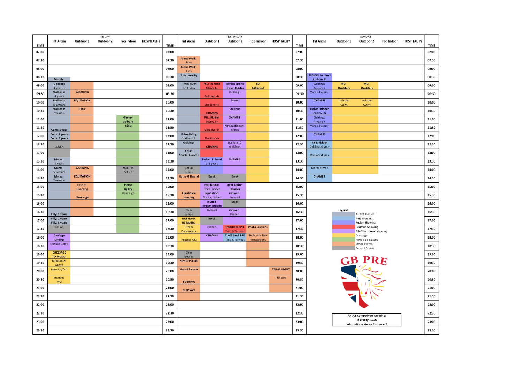| <b>TIME</b> | Int Arena                                 | Outdoor 1           | FRIDAY<br>Outdoor 2 | <b>Top Indoor</b>         | <b>HOSPITALITY</b> | <b>TIME</b> | <b>Int Arena</b>                              | Outdoor 1                               | <b>SATURDAY</b><br>Outdoor 2                                      | <b>Top Indoor</b>                     | <b>HOSPITALITY</b> | <b>TIME</b> | <b>Int Arena</b>                                 | Outdoor 1               | <b>SUNDAY</b><br>Outdoor 2                               | <b>Top Indoor</b> | <b>HOSPITALITY</b> | <b>TIME</b> |
|-------------|-------------------------------------------|---------------------|---------------------|---------------------------|--------------------|-------------|-----------------------------------------------|-----------------------------------------|-------------------------------------------------------------------|---------------------------------------|--------------------|-------------|--------------------------------------------------|-------------------------|----------------------------------------------------------|-------------------|--------------------|-------------|
| 07:00       |                                           |                     |                     |                           |                    | 07:00       |                                               |                                         |                                                                   |                                       |                    | 07:00       |                                                  |                         |                                                          |                   |                    | 07:00       |
| 07:30       |                                           |                     |                     |                           |                    | 07:30       | Arena Walk:                                   |                                         |                                                                   |                                       |                    | 07:30       |                                                  |                         |                                                          |                   |                    | 07:30       |
| 08:00       |                                           |                     |                     |                           |                    | 08:00       | <b>Boys</b><br><b>Arena Walk:</b>             |                                         |                                                                   |                                       |                    | 08:00       |                                                  |                         |                                                          |                   |                    | 08:00       |
| 08:30       | Morph:                                    |                     |                     |                           |                    | 08:30       | Girls<br><b>Functionality</b>                 |                                         |                                                                   |                                       |                    | 08:30       | <b>FUSION: In Hand</b><br><b>Stallions &amp;</b> |                         |                                                          |                   |                    | 08:30       |
| 09:00       | <b>Geldings</b>                           |                     |                     |                           |                    | 09:00       | Times given                                   | PSL: In hand                            | <b>Iberian Sports</b>                                             | <b>BD</b><br><b>Affiliated</b>        |                    | 09:00       | Geldings                                         | <b>MCI</b><br>Qualifers | <b>MCI</b>                                               |                   |                    | 09:00       |
| 09:30       | 4 years +<br><b>Stallions:</b><br>4 years | <b>WORKING</b>      |                     |                           |                    | 09:30       | on Friday                                     | Mares 4+<br>Geldings 4+                 | <b>Horse: Ridden</b><br>Geldings                                  |                                       |                    | 09:30       | 4 years +<br>Mares 4 years +                     |                         | <b>Qualifers</b>                                         |                   |                    | 09:30       |
| 10:00       | <b>Stallions:</b><br>5-6 years            | <b>EQUITATION</b>   |                     |                           |                    | 10:00       |                                               | Stallions 4+                            | Mares                                                             |                                       |                    | 10:00       | <b>CHAMPS</b>                                    | Includes<br>COPA        | <b>Includes</b><br>COPA                                  |                   |                    | 10:00       |
| 10:30       | <b>Stallions:</b><br>7 years +            | <b>Clinic</b>       |                     |                           |                    | 10:30       |                                               | <b>CHAMPS</b>                           | <b>Stallions</b>                                                  |                                       |                    | 10:30       | <b>Fusion: Ridden</b><br><b>Stallions &amp;</b>  |                         |                                                          |                   |                    | 10:30       |
| 11:00       |                                           |                     |                     | Gaynor<br>Colborn         |                    | 11:00       |                                               | <b>PSL: Ridden</b><br>Mares 4+          | <b>CHAMPS</b>                                                     |                                       |                    | 11:00       | Geldings<br>4 years +                            |                         |                                                          |                   |                    | 11:00       |
| 11:30       | Colts: 1 year                             |                     |                     | <b>Clinic</b>             |                    | 11:30       |                                               | Geldings 4+                             | <b>Novice Ridden:</b><br>Mares                                    |                                       |                    | 11:30       | Mares 4 years +                                  |                         |                                                          |                   |                    | 11:30       |
| 12:00       | Colts: 2 years<br>Colts: 3 years          |                     |                     |                           |                    | 12:00       | <b>Prize Giving</b><br><b>Stallions &amp;</b> | <b>Stallions 4+</b>                     |                                                                   |                                       |                    | 12:00       | <b>CHAMPS</b>                                    |                         |                                                          |                   |                    | 12:00       |
| 12:30       | LUNCH                                     |                     |                     |                           |                    | 12:30       | Geldings                                      | <b>CHAMPS</b>                           | <b>Stallions &amp;</b><br>Geldings                                |                                       |                    | 12:30       | <b>PRE: Ridden</b><br>Geldings 4 yrs +           |                         |                                                          |                   |                    | 12:30       |
| 13:00       |                                           |                     |                     |                           |                    | 13:00       | ANCCE<br><b>Special Awards</b>                |                                         |                                                                   |                                       |                    | 13:00       | Stallions 4 yrs +                                |                         |                                                          |                   |                    | 13:00       |
| 13:30       | Mares:<br>4 years                         |                     |                     |                           |                    | 13:30       |                                               | <b>Fusion: In hand</b><br>$1 - 3$ years | <b>CHAMPS</b>                                                     |                                       |                    | 13:30       |                                                  |                         |                                                          |                   |                    | 13:30       |
| 14:00       | Mares:<br>5-6 years                       | <b>WORKING</b>      |                     | <b>AGILITY:</b><br>Set up |                    | 14:00       | Set up<br>jumps                               |                                         |                                                                   |                                       |                    | 14:00       | Mares 4 yrs +                                    |                         |                                                          |                   |                    | 14:00       |
| 14:30       | Mares:<br>7 years +                       | <b>EQUITATION</b>   |                     |                           |                    | 14:30       | <b>Horse &amp; Hound</b>                      | <b>Break</b>                            | <b>Break</b>                                                      |                                       |                    | 14:30       | <b>CHAMPS</b>                                    |                         |                                                          |                   |                    | 14:30       |
| 15:00       |                                           | Ease of<br>Handling |                     | Horse<br><b>Agility</b>   |                    | 15:00       |                                               | <b>Equitation:</b><br>Open, ridden      | <b>Best Junior</b><br>Handler                                     |                                       |                    | 15:00       |                                                  |                         |                                                          |                   |                    | 15:00       |
| 15:30       |                                           | Have a go           |                     | Have a go                 |                    | 15:30       | <b>Equitation</b><br>Jumping                  | <b>Equitation:</b><br>Novice, ridden    | Veteran:<br>In hand                                               |                                       |                    | 15:30       |                                                  |                         |                                                          |                   |                    | 15:30       |
| 16:00       |                                           |                     |                     |                           |                    | 16:00       |                                               | Invited<br><b>Foreign Breeds:</b>       | <b>Break</b>                                                      |                                       |                    | 16:00       |                                                  |                         |                                                          |                   |                    | 16:00       |
| 16:30       | Filly: 1 years                            |                     |                     |                           |                    | 16:30       | Clear<br>jumps                                | In hand                                 | Veteran:<br>Ridden                                                |                                       |                    | 16:30       |                                                  | Legend:                 | <b>ANCCE Classes</b>                                     |                   |                    | 16:30       |
| 17:00       | Filly: 2 years<br>Filly: 3 years          |                     |                     |                           |                    | 17:00       | <b>DRESSAGE</b><br>TO MUSIC:                  | <b>Break</b>                            |                                                                   |                                       |                    | 17:00       |                                                  |                         | <b>PRE Showing</b><br><b>Fusion Showing</b>              |                   |                    | 17:00       |
| 17:30       | <b>BREAK</b>                              |                     |                     |                           |                    | 17:30       | Prelim<br>Elementary                          | Ridden                                  | <b>Tack &amp; Turnou</b>                                          | <b>Traditional PSL Photo Sessions</b> |                    | 17:30       |                                                  |                         | Lusitano Showing<br>All/Other breed showing              |                   |                    | 17:30       |
| 18:00       | Carriage<br><b>Driving</b>                |                     |                     |                           |                    | 18:00       | <b>Includes MCI</b>                           | <b>CHAMPS</b>                           | <b>Traditional PRE</b> Book with NAK<br><b>Tack &amp; Turnout</b> | Photography                           |                    | 18:00       |                                                  |                         | <b>Dressage</b><br>Have a go classes                     |                   |                    | 18:00       |
| 18:30       | Lecture Demo                              |                     |                     |                           |                    | 18:30       |                                               |                                         |                                                                   |                                       |                    | 18:30       |                                                  |                         | Other events<br>Setup / Breaks                           |                   |                    | 18:30       |
| 19:00       | <b>DRESSAGE</b><br>TO MUSIC:              |                     |                     |                           |                    | 19:00       | Clear<br>boards                               |                                         |                                                                   |                                       |                    | 19:00       |                                                  |                         |                                                          |                   |                    | 19:00       |
| 19:30       | Medium &<br>Above                         |                     |                     |                           |                    | 19:30       | <b>Novice Parade</b>                          |                                         |                                                                   |                                       |                    | 19:30       |                                                  |                         | <b>GB PRE</b>                                            |                   |                    | 19:30       |
| 20:00       | (also AV/DV)                              |                     |                     |                           |                    | 20:00       | <b>Grand Parade</b>                           |                                         |                                                                   |                                       | <b>TAPAS NIGHT</b> | 20:00       |                                                  |                         |                                                          |                   |                    | 20:00       |
| 20:30       | Includes<br>MCI                           |                     |                     |                           |                    | 20:30       | <b>EVENING</b>                                |                                         |                                                                   |                                       | <b>Ticketed</b>    | 20:30       |                                                  |                         |                                                          |                   |                    | 20:30       |
| 21:00       |                                           |                     |                     |                           |                    | 21:00       | <b>DISPLAYS</b>                               |                                         |                                                                   |                                       |                    | 21:00       |                                                  |                         |                                                          |                   |                    | 21:00       |
| 21:30       |                                           |                     |                     |                           |                    | 21:30       |                                               |                                         |                                                                   |                                       |                    | 21:30       |                                                  |                         |                                                          |                   |                    | 21:30       |
| 22:00       |                                           |                     |                     |                           |                    | 22:00       |                                               |                                         |                                                                   |                                       |                    | 22:00       |                                                  |                         |                                                          |                   |                    | 22:00       |
| 22:30       |                                           |                     |                     |                           |                    | 22:30       |                                               |                                         |                                                                   |                                       |                    | 22:30       |                                                  |                         | <b>ANCCE Competitors Meeting:</b>                        |                   |                    | 22:30       |
| 23:00       |                                           |                     |                     |                           |                    | 23:00       |                                               |                                         |                                                                   |                                       |                    | 23:00       |                                                  |                         | Thursday, 19.00<br><b>International Arena Restaurant</b> |                   |                    | 23:00       |
| 23:30       |                                           |                     |                     |                           |                    | 23:30       |                                               |                                         |                                                                   |                                       |                    | 23:30       |                                                  |                         |                                                          |                   |                    | 23:30       |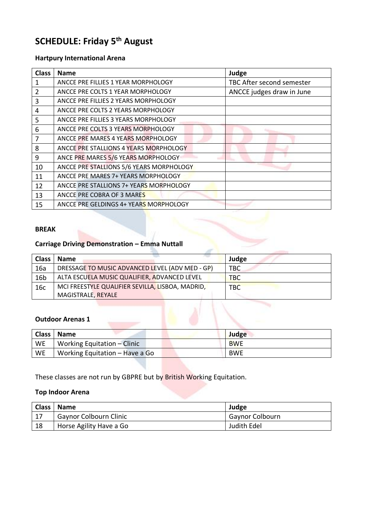# **SCHEDULE: Friday 5th August**

## **Hartpury International Arena**

| <b>Class</b> | <b>Name</b>                                    | Judge                     |
|--------------|------------------------------------------------|---------------------------|
| 1            | ANCCE PRE FILLIES 1 YEAR MORPHOLOGY            | TBC After second semester |
| 2            | ANCCE PRE COLTS 1 YEAR MORPHOLOGY              | ANCCE judges draw in June |
| 3            | ANCCE PRE FILLIES 2 YEARS MORPHOLOGY           |                           |
| 4            | ANCCE PRE COLTS 2 YEARS MORPHOLOGY             |                           |
| 5            | ANCCE PRE FILLIES 3 YEARS MORPHOLOGY           |                           |
| 6            | ANCCE PRE COLTS 3 YEARS MORPHOLOGY             |                           |
| 7            | ANCCE PRE MARES 4 YEARS MORPHOLOGY             |                           |
| 8            | ANCCE PRE STALLIONS 4 YEARS MORPHOLOGY         |                           |
| 9            | ANCE PRE MARES 5/6 YEARS MORPHOLOGY            |                           |
| 10           | ANCCE PRE STALLIONS 5/6 YEARS MORPHOLOGY       |                           |
| 11           | ANCCE PRE MARES 7+ YEARS MORPHOLOGY            |                           |
| 12           | <b>ANCCE PRE STALLIONS 7+ YEARS MORPHOLOGY</b> |                           |
| 13           | ANCCE PRE COBRA OF 3 MARES                     |                           |
| 15           | ANCCE PRE GELDINGS 4+ YEARS MORPHOLOGY         |                           |

#### **BREAK**

# **Carriage Driving Demonstration – Emma Nuttall**

| <b>Class</b>    | <b>Name</b>                                      | Judge      |
|-----------------|--------------------------------------------------|------------|
| 16a             | DRESSAGE TO MUSIC ADVANCED LEVEL (ADV MED - GP)  | TBC        |
| 16 <sub>b</sub> | ALTA ESCUELA MUSIC QUALIFIER, ADVANCED LEVEL     | <b>TBC</b> |
| 16c             | MCI FREESTYLE QUALIFIER SEVILLA, LISBOA, MADRID, | <b>TBC</b> |
|                 | MAGISTRALE, REYALE                               |            |

#### **Outdoor Arenas 1**

|    | Class   Name                   | Judge      |
|----|--------------------------------|------------|
| WE | Working Equitation – Clinic    | <b>BWE</b> |
| WE | Working Equitation – Have a Go | <b>BWE</b> |

These classes are not run by GBPRE but by British Working Equitation.

### **Top Indoor Arena**

|     | Class   Name                  | Judge                  |
|-----|-------------------------------|------------------------|
| -17 | <b>Gaynor Colbourn Clinic</b> | <b>Gaynor Colbourn</b> |
| 18  | Horse Agility Have a Go       | Judith Edel            |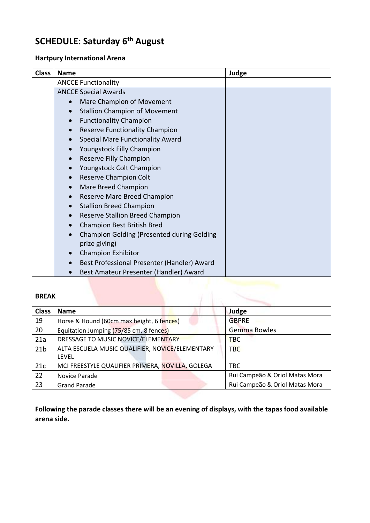# **SCHEDULE: Saturday 6th August**

### **Hartpury International Arena**

| <b>Class</b> | <b>Name</b>                                          | Judge |
|--------------|------------------------------------------------------|-------|
|              | <b>ANCCE Functionality</b>                           |       |
|              | <b>ANCCE Special Awards</b>                          |       |
|              | Mare Champion of Movement                            |       |
|              | <b>Stallion Champion of Movement</b><br>$\bullet$    |       |
|              | <b>Functionality Champion</b><br>$\bullet$           |       |
|              | <b>Reserve Functionality Champion</b>                |       |
|              | <b>Special Mare Functionality Award</b><br>$\bullet$ |       |
|              | Youngstock Filly Champion                            |       |
|              | Reserve Filly Champion                               |       |
|              | Youngstock Colt Champion                             |       |
|              | Reserve Champion Colt                                |       |
|              | Mare Breed Champion<br>$\bullet$                     |       |
|              | Reserve Mare Breed Champion<br>$\bullet$             |       |
|              | <b>Stallion Breed Champion</b><br>$\bullet$          |       |
|              | <b>Reserve Stallion Breed Champion</b>               |       |
|              | Champion Best British Bred                           |       |
|              | <b>Champion Gelding (Presented during Gelding</b>    |       |
|              | prize giving)                                        |       |
|              | <b>Champion Exhibitor</b>                            |       |
|              | Best Professional Presenter (Handler) Award          |       |
|              | Best Amateur Presenter (Handler) Award               |       |

#### **BREAK**

| <b>BREAK</b>    |                                                          |                                |
|-----------------|----------------------------------------------------------|--------------------------------|
| <b>Class</b>    | <b>Name</b>                                              | Judge                          |
| 19              | Horse & Hound (60cm max height, 6 fences)                | <b>GBPRE</b>                   |
| 20              | Equitation Jumping (75/85 cm, 8 fences)                  | Gemma Bowles                   |
| 21a             | DRESSAGE TO MUSIC NOVICE/ELEMENTARY                      | <b>TBC</b>                     |
| 21 <sub>b</sub> | ALTA ESCUELA MUSIC QUALIFIER, NOVICE/ELEMENTARY<br>LEVEL | <b>TBC</b>                     |
| 21c             | MCI FREESTYLE QUALIFIER PRIMERA, NOVILLA, GOLEGA         | <b>TBC</b>                     |
| 22              | Novice Parade                                            | Rui Campeão & Oriol Matas Mora |
| 23              | <b>Grand Parade</b>                                      | Rui Campeão & Oriol Matas Mora |

**Following the parade classes there will be an evening of displays, with the tapas food available arena side.**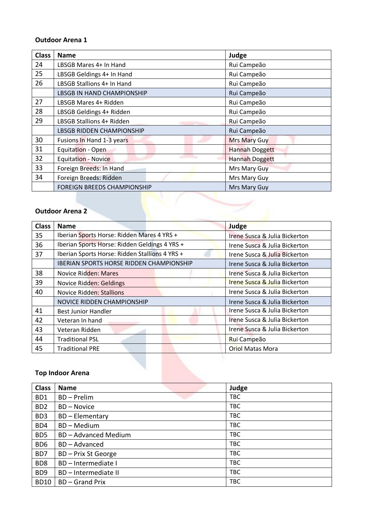#### **Outdoor Arena 1**

| <b>Class</b> | <b>Name</b>                        | Judge                 |
|--------------|------------------------------------|-----------------------|
| 24           | LBSGB Mares 4+ In Hand             | Rui Campeão           |
| 25           | LBSGB Geldings 4+ In Hand          | Rui Campeão           |
| 26           | LBSGB Stallions 4+ In Hand         | Rui Campeão           |
|              | <b>LBSGB IN HAND CHAMPIONSHIP</b>  | Rui Campeão           |
| 27           | LBSGB Mares 4+ Ridden              | Rui Campeão           |
| 28           | LBSGB Geldings 4+ Ridden           | Rui Campeão           |
| 29           | LBSGB Stallions 4+ Ridden          | Rui Campeão           |
|              | <b>LBSGB RIDDEN CHAMPIONSHIP</b>   | Rui Campeão           |
| 30           | Fusions In Hand 1-3 years          | <b>Mrs Mary Guy</b>   |
| 31           | Equitation - Open                  | <b>Hannah Doggett</b> |
| 32           | <b>Equitation - Novice</b>         | <b>Hannah Doggett</b> |
| 33           | Foreign Breeds: In Hand            | Mrs Mary Guy          |
| 34           | Foreign Breeds: Ridden             | Mrs Mary Guy          |
|              | <b>FOREIGN BREEDS CHAMPIONSHIP</b> | Mrs Mary Guy          |

### **Outdoor Arena 2**

| <b>Class</b> | <b>Name</b>                                     | Judge                                    |
|--------------|-------------------------------------------------|------------------------------------------|
| 35           | Iberian Sports Horse: Ridden Mares 4 YRS +      | Irene Susca & Julia Bickerton            |
| 36           | Iberian Sports Horse: Ridden Geldings 4 YRS +   | Irene Susca & Julia Bickerton            |
| 37           | Iberian Sports Horse: Ridden Stallions 4 YRS +  | Irene Susca & Julia Bickerton            |
|              | <b>IBERIAN SPORTS HORSE RIDDEN CHAMPIONSHIP</b> | Irene Susca & Julia Bickerton            |
| 38           | Novice Ridden: Mares                            | Irene Susca & Julia Bickerton            |
| 39           | Novice Ridden: Geldings                         | <b>Irene Susca &amp; Julia Bickerton</b> |
| 40           | <b>Novice Ridden: Stallions</b>                 | Irene Susca & Julia Bickerton            |
|              | NOVICE RIDDEN CHAMPIONSHIP                      | Irene Susca & Julia Bickerton            |
| 41           | <b>Best Junior Handler</b>                      | Irene Susca & Julia Bickerton            |
| 42           | Veteran In hand                                 | Irene Susca & Julia Bickerton            |
| 43           | Veteran Ridden                                  | Irene Susca & Julia Bickerton            |
| 44           | <b>Traditional PSL</b>                          | Rui Campeão                              |
| 45           | <b>Traditional PRE</b>                          | <b>Oriol Matas Mora</b>                  |

## **Top Indoor Arena**

| <b>Class</b>     | <b>Name</b>               | Judge      |
|------------------|---------------------------|------------|
| BD1              | BD - Prelim               | <b>TBC</b> |
| B <sub>D</sub> 2 | <b>BD-Novice</b>          | <b>TBC</b> |
| B <sub>D</sub> 3 | <b>BD-Elementary</b>      | <b>TBC</b> |
| BD4              | BD-Medium                 | <b>TBC</b> |
| BD <sub>5</sub>  | <b>BD-Advanced Medium</b> | <b>TBC</b> |
| BD <sub>6</sub>  | <b>BD-Advanced</b>        | <b>TBC</b> |
| BD7              | BD - Prix St George       | <b>TBC</b> |
| BD <sub>8</sub>  | BD - Intermediate I       | <b>TBC</b> |
| BD <sub>9</sub>  | BD-Intermediate II        | <b>TBC</b> |
| <b>BD10</b>      | <b>BD-Grand Prix</b>      | <b>TBC</b> |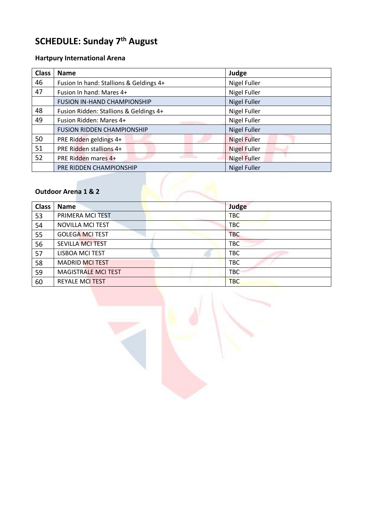# **SCHEDULE: Sunday 7th August**

# **Hartpury International Arena**

| <b>Class</b>                   | <b>Name</b>                             | Judge               |  |  |
|--------------------------------|-----------------------------------------|---------------------|--|--|
| 46                             | Fusion In hand: Stallions & Geldings 4+ | <b>Nigel Fuller</b> |  |  |
| 47                             | Fusion In hand: Mares 4+                | <b>Nigel Fuller</b> |  |  |
|                                | <b>FUSION IN-HAND CHAMPIONSHIP</b>      | <b>Nigel Fuller</b> |  |  |
| 48                             | Fusion Ridden: Stallions & Geldings 4+  | <b>Nigel Fuller</b> |  |  |
| 49                             | Fusion Ridden: Mares 4+                 | Nigel Fuller        |  |  |
|                                | <b>FUSION RIDDEN CHAMPIONSHIP</b>       | <b>Nigel Fuller</b> |  |  |
| 50                             | PRE Ridden geldings 4+                  | <b>Nigel Fuller</b> |  |  |
| 51                             | PRE Ridden stallions 4+                 | <b>Nigel Fuller</b> |  |  |
| 52                             | PRE Ridden mares 4+                     | <b>Nigel Fuller</b> |  |  |
|                                | PRE RIDDEN CHAMPIONSHIP                 | <b>Nigel Fuller</b> |  |  |
|                                |                                         |                     |  |  |
| <b>Outdoor Arena 1 &amp; 2</b> |                                         |                     |  |  |

## **Outdoor Arena 1 & 2**

| <b>Class</b> | <b>Name</b>                | Judge      |
|--------------|----------------------------|------------|
| 53           | PRIMERA MCI TEST           | <b>TBC</b> |
| 54           | <b>NOVILLA MCI TEST</b>    | <b>TBC</b> |
| 55           | <b>GOLEGA MCI TEST</b>     | <b>TBC</b> |
| 56           | <b>SEVILLA MCI TEST</b>    | <b>TBC</b> |
| 57           | LISBOA MCI TEST            | <b>TBC</b> |
| 58           | <b>MADRID MCI TEST</b>     | <b>TBC</b> |
| 59           | <b>MAGISTRALE MCI TEST</b> | <b>TBC</b> |
| 60           | <b>REYALE MCI TEST</b>     | <b>TBC</b> |

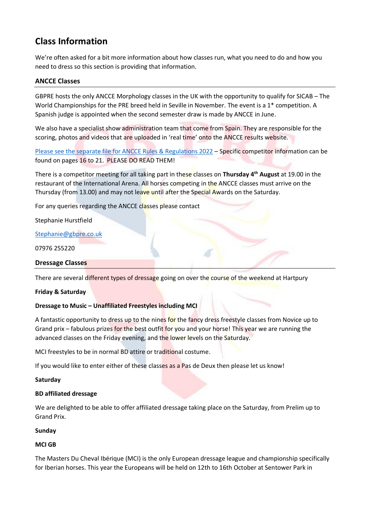# **Class Information**

We're often asked for a bit more information about how classes run, what you need to do and how you need to dress so this section is providing that information.

#### **ANCCE Classes**

GBPRE hosts the only ANCCE Morphology classes in the UK with the opportunity to qualify for SICAB – The World Championships for the PRE breed held in Seville in November. The event is a 1<sup>\*</sup> competition. A Spanish judge is appointed when the second semester draw is made by ANCCE in June.

We also have a specialist show administration team that come from Spain. They are responsible for the scoring, photos and videos that are uploaded in 'real time' onto the ANCCE results website.

Please [see the separate file for ANCCE Rules & Regulations 2022](https://www.ancce.es/_docs/documentos/2022/MORFOLOGICO/reglamento_concursos22_ing.pdf) – Specific competitor information can be found on pages 16 to 21. PLEASE DO READ THEM!

There is a competitor meeting for all taking part in these classes on **Thursday 4th August** at 19.00 in the restaurant of the International Arena. All horses competing in the ANCCE classes must arrive on the Thursday (from 13.00) and may not leave until after the Special Awards on the Saturday.

For any queries regarding the ANCCE classes please contact

Stephanie Hurstfield

[Stephanie@gbpre.co.uk](mailto:Stephanie@gbpre.co.uk)

07976 255220

#### **Dressage Classes**

There are several different types of dressage going on over the course of the weekend at Hartpury

#### **Friday & Saturday**

#### **Dressage to Music – Unaffiliated Freestyles including MCI**

A fantastic opportunity to dress up to the nines for the fancy dress freestyle classes from Novice up to Grand prix – fabulous prizes for the best outfit for you and your horse! This year we are running the advanced classes on the Friday evening, and the lower levels on the Saturday.

MCI freestyles to be in normal BD attire or traditional costume.

If you would like to enter either of these classes as a Pas de Deux then please let us know!

#### **Saturday**

#### **BD affiliated dressage**

We are delighted to be able to offer affiliated dressage taking place on the Saturday, from Prelim up to Grand Prix.

#### **Sunday**

#### **MCI GB**

The Masters Du Cheval Ibérique (MCI) is the only European dressage league and championship specifically for Iberian horses. This year the Europeans will be held on 12th to 16th October at Sentower Park in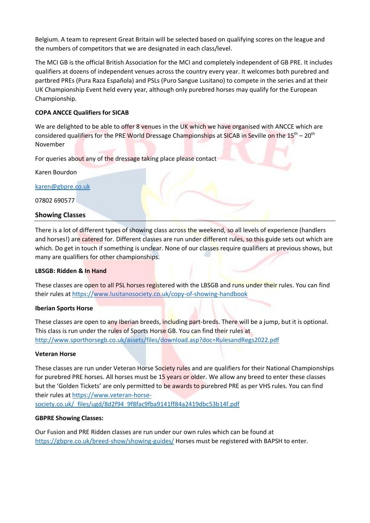Belgium. A team to represent Great Britain will be selected based on qualifying scores on the league and the numbers of competitors that we are designated in each class/level.

The MCI GB is the official British Association for the MCI and completely independent of GB PRE. It includes qualifiers at dozens of independent venues across the country every year. It welcomes both purebred and partbred PREs (Pura Raza Española) and PSLs (Puro Sangue Lusitano) to compete in the series and at their UK Championship Event held every year, although only purebred horses may qualify for the European Championship.

#### **COPA ANCCE Qualifiers for SICAB**

We are delighted to be able to offer 8 venues in the UK which we have organised with ANCCE which are considered qualifiers for the PRE World Dressage Championships at SICAB in Seville on the 15<sup>th</sup> – 20<sup>th</sup> November

For queries about any of the dressage taking place please contact

Karen Bourdon

[karen@gbpre.co.uk](mailto:karen@gbpre.co.uk)

07802 690577

#### **Showing Classes**

There is a lot of different types of showing class across the weekend, so all levels of experience (handlers and horses!) are catered for. Different classes are run under different rules, so this guide sets out which are which. Do get in touch if something is unclear. None of our classes require qualifiers at previous shows, but many are qualifiers for other championships.

#### **LBSGB: Ridden & In Hand**

These classes are open to all PSL horses registered with the LBSGB and runs under their rules. You can find their rules at<https://www.lusitanosociety.co.uk/copy-of-showing-handbook>

#### **Iberian Sports Horse**

These classes are open to any Iberian breeds, including part-breds. There will be a jump, but it is optional. This class is run under the rules of Sports Horse GB. You can find their rules at <http://www.sporthorsegb.co.uk/assets/files/download.asp?doc=RulesandRegs2022.pdf>

#### **Veteran Horse**

These classes are run under Veteran Horse Society rules and are qualifiers for their National Championships for purebred PRE horses. All horses must be 15 years or older. We allow any breed to enter these classes but the 'Golden Tickets' are only permitted to be awards to purebred PRE as per VHS rules. You can find their rules at [https://www.veteran-horse-](https://www.veteran-horse-society.co.uk/_files/ugd/8d2f94_9f8fac9fba9141ff84a2419dbc53b14f.pdf)

[society.co.uk/\\_files/ugd/8d2f94\\_9f8fac9fba9141ff84a2419dbc53b14f.pdf](https://www.veteran-horse-society.co.uk/_files/ugd/8d2f94_9f8fac9fba9141ff84a2419dbc53b14f.pdf)

#### **GBPRE Showing Classes:**

Our Fusion and PRE Ridden classes are run under our own rules which can be found at <https://gbpre.co.uk/breed-show/showing-guides/> Horses must be registered with BAPSH to enter.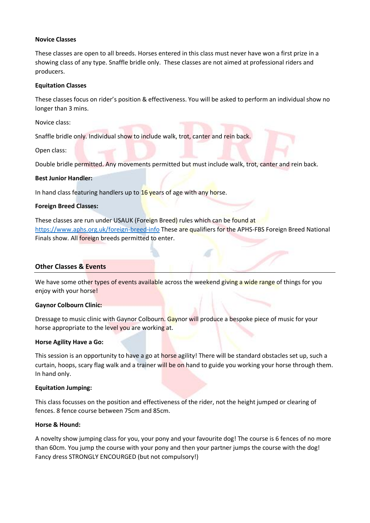#### **Novice Classes**

These classes are open to all breeds. Horses entered in this class must never have won a first prize in a showing class of any type. Snaffle bridle only. These classes are not aimed at professional riders and producers.

#### **Equitation Classes**

These classes focus on rider's position & effectiveness. You will be asked to perform an individual show no longer than 3 mins.

Novice class:

Snaffle bridle only. Individual show to include walk, trot, canter and rein back.

Open class:

Double bridle permitted. Any movements permitted but must include walk, trot, canter and rein back.

#### **Best Junior Handler:**

In hand class featuring handlers up to 16 years of age with any horse.

#### **Foreign Breed Classes:**

These classes are run under USAUK (Foreign Breed) rules which can be found at <https://www.aphs.org.uk/foreign-breed-info> These are qualifiers for the APHS-FBS Foreign Breed National Finals show. All foreign breeds permitted to enter.

#### **Other Classes & Events**

We have some other types of events available across the weekend giving a wide range of things for you enjoy with your horse!

#### **Gaynor Colbourn Clinic:**

Dressage to music clinic with Gaynor Colbourn. Gaynor will produce a bespoke piece of music for your horse appropriate to the level you are working at.

#### **Horse Agility Have a Go:**

This session is an opportunity to have a go at horse agility! There will be standard obstacles set up, such a curtain, hoops, scary flag walk and a trainer will be on hand to guide you working your horse through them. In hand only.

#### **Equitation Jumping:**

This class focusses on the position and effectiveness of the rider, not the height jumped or clearing of fences. 8 fence course between 75cm and 85cm.

#### **Horse & Hound:**

A novelty show jumping class for you, your pony and your favourite dog! The course is 6 fences of no more than 60cm. You jump the course with your pony and then your partner jumps the course with the dog! Fancy dress STRONGLY ENCOURGED (but not compulsory!)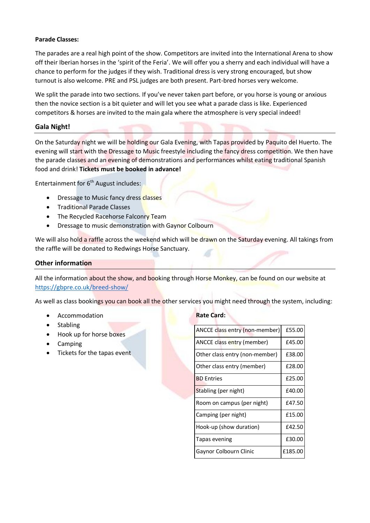#### **Parade Classes:**

The parades are a real high point of the show. Competitors are invited into the International Arena to show off their Iberian horses in the 'spirit of the Feria'. We will offer you a sherry and each individual will have a chance to perform for the judges if they wish. Traditional dress is very strong encouraged, but show turnout is also welcome. PRE and PSL judges are both present. Part-bred horses very welcome.

We split the parade into two sections. If you've never taken part before, or you horse is young or anxious then the novice section is a bit quieter and will let you see what a parade class is like. Experienced competitors & horses are invited to the main gala where the atmosphere is very special indeed!

#### **Gala Night!**

On the Saturday night we will be holding our Gala Evening, with Tapas provided by Paquito del Huerto. The evening will start with the Dressage to Music freestyle including the fancy dress competition. We then have the parade classes and an evening of demonstrations and performances whilst eating traditional Spanish food and drink! **Tickets must be booked in advance!**

Entertainment for 6<sup>th</sup> August includes:

- Dressage to Music fancy dress classes
- Traditional Parade Classes
- The Recycled Racehorse Falconry Team
- Dressage to music demonstration with Gaynor Colbourn

We will also hold a raffle across the weekend which will be drawn on the Saturday evening. All takings from the raffle will be donated to Redwings Horse Sanctuary.

#### **Other information**

All the information about the show, and booking through Horse Monkey, can be found on our website at <https://gbpre.co.uk/breed-show/>

As well as class bookings you can book all the other services you might need through the system, including:

- **Accommodation**
- **Stabling**
- Hook up for horse boxes
- Camping
- Tickets for the tapas event

#### **Rate Card:**

| ANCCE class entry (non-member) | £55.00  |
|--------------------------------|---------|
| ANCCE class entry (member)     | £45.00  |
| Other class entry (non-member) | £38.00  |
| Other class entry (member)     | £28.00  |
| <b>BD</b> Entries              | £25.00  |
| Stabling (per night)           | £40.00  |
| Room on campus (per night)     | £47.50  |
| Camping (per night)            | £15.00  |
| Hook-up (show duration)        | £42.50  |
| Tapas evening                  | £30.00  |
| Gaynor Colbourn Clinic         | £185.00 |
|                                |         |